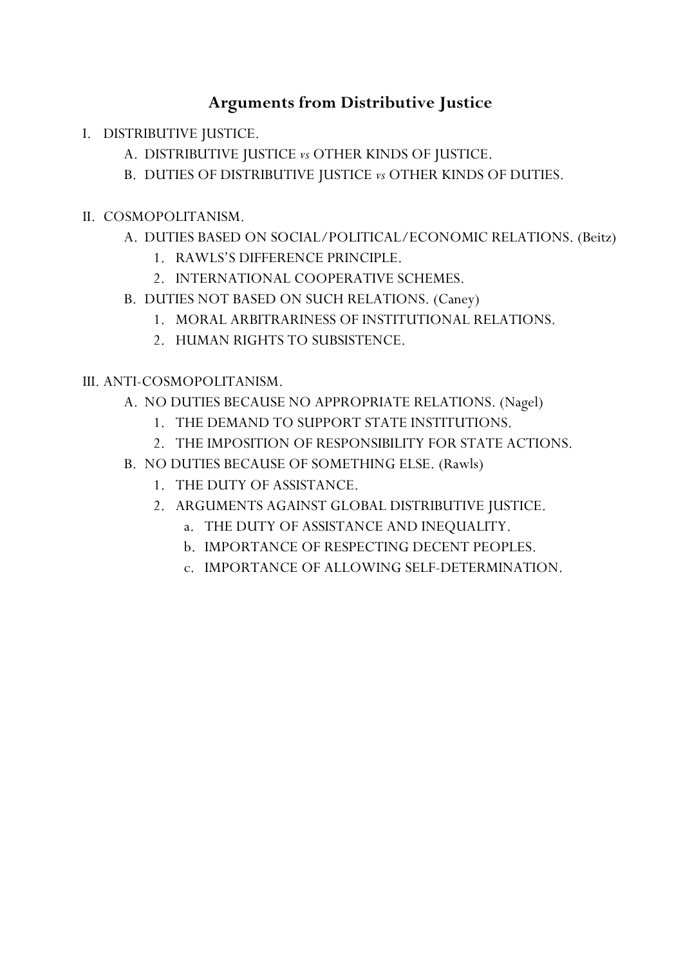# **Arguments from Distributive Justice**

- I. DISTRIBUTIVE JUSTICE.
	- A. DISTRIBUTIVE JUSTICE *vs* OTHER KINDS OF JUSTICE.
	- B. DUTIES OF DISTRIBUTIVE JUSTICE *vs* OTHER KINDS OF DUTIES.
- II. COSMOPOLITANISM.
	- A. DUTIES BASED ON SOCIAL/POLITICAL/ECONOMIC RELATIONS. (Beitz)
		- 1. RAWLS'S DIFFERENCE PRINCIPLE.
		- 2. INTERNATIONAL COOPERATIVE SCHEMES.
	- B. DUTIES NOT BASED ON SUCH RELATIONS. (Caney)
		- 1. MORAL ARBITRARINESS OF INSTITUTIONAL RELATIONS.
		- 2. HUMAN RIGHTS TO SUBSISTENCE.

# III. ANTI-COSMOPOLITANISM.

- A. NO DUTIES BECAUSE NO APPROPRIATE RELATIONS. (Nagel)
	- 1. THE DEMAND TO SUPPORT STATE INSTITUTIONS.
	- 2. THE IMPOSITION OF RESPONSIBILITY FOR STATE ACTIONS.
- B. NO DUTIES BECAUSE OF SOMETHING ELSE. (Rawls)
	- 1. THE DUTY OF ASSISTANCE.
	- 2. ARGUMENTS AGAINST GLOBAL DISTRIBUTIVE JUSTICE.
		- a. THE DUTY OF ASSISTANCE AND INEQUALITY.
		- b. IMPORTANCE OF RESPECTING DECENT PEOPLES.
		- c. IMPORTANCE OF ALLOWING SELF-DETERMINATION.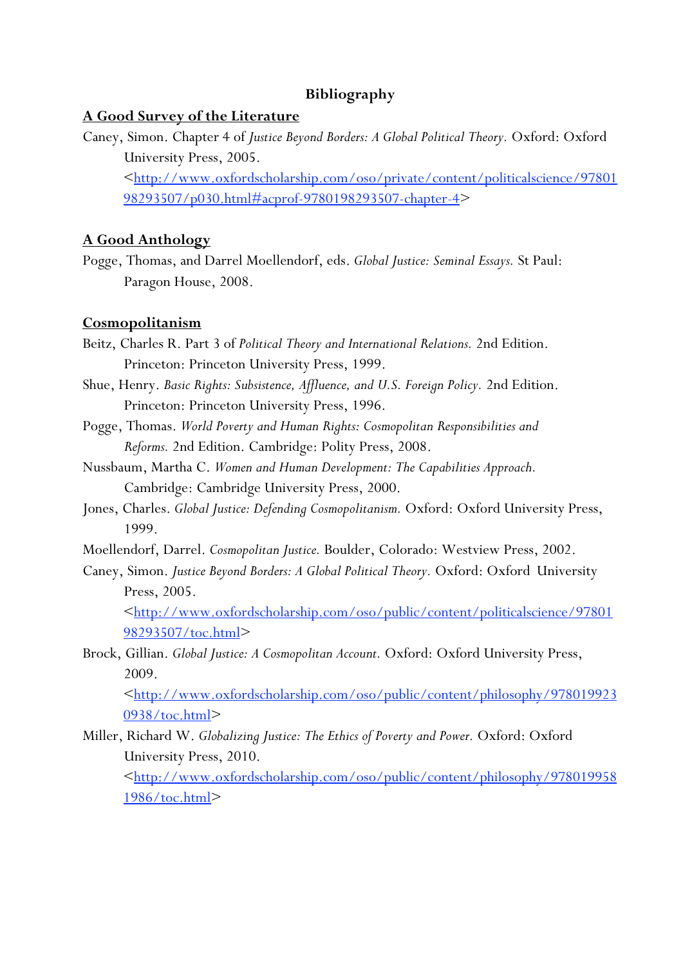## **Bibliography**

### **A Good Survey of the Literature**

Caney, Simon. Chapter 4 of *Justice Beyond Borders: A Global Political Theory.* Oxford: Oxford University Press, 2005. [<http://www.oxfordscholarship.com/oso/private/content/politicalscience/97801](http://www.oxfordscholarship.com/oso/private/content/politicalscience/9780198293507/p030.html) 98293507/p030.html#acprof-9780198293507-chapter-4>

## **A Good Anthology**

Pogge, Thomas, and Darrel Moellendorf, eds. *Global Justice: Seminal Essays.* St Paul: Paragon House, 2008.

#### **Cosmopolitanism**

- Beitz, Charles R. Part 3 of *Political Theory and International Relations.* 2nd Edition. Princeton: Princeton University Press, 1999.
- Shue, Henry. *Basic Rights: Subsistence, Affluence, and U.S. Foreign Policy.* 2nd Edition. Princeton: Princeton University Press, 1996.
- Pogge, Thomas. *World Poverty and Human Rights: Cosmopolitan Responsibilities and Reforms.* 2nd Edition. Cambridge: Polity Press, 2008.
- Nussbaum, Martha C. *Women and Human Development: The Capabilities Approach.* Cambridge: Cambridge University Press, 2000.
- Jones, Charles. *Global Justice: Defending Cosmopolitanism.* Oxford: Oxford University Press, 1999.
- Moellendorf, Darrel. *Cosmopolitan Justice.* Boulder, Colorado: Westview Press, 2002.
- Caney, Simon. *Justice Beyond Borders: A Global Political Theory.* Oxford: Oxford University Press, 2005.

[<http://www.oxfordscholarship.com/oso/public/content/politicalscience/97801](http://www.oxfordscholarship.com/oso/public/content/politicalscience/9780198293507/toc.html) 98293507/toc.html>

Brock, Gillian. *Global Justice: A Cosmopolitan Account.* Oxford: Oxford University Press, 2009.

[<http://www.oxfordscholarship.com/oso/public/content/philosophy/978019923](http://www.oxfordscholarship.com/oso/public/content/philosophy/9780199230938/toc.html) 0938/toc.html>

Miller, Richard W. *Globalizing Justice: The Ethics of Poverty and Power.* Oxford: Oxford University Press, 2010.

[<http://www.oxfordscholarship.com/oso/public/content/philosophy/978019958](http://www.oxfordscholarship.com/oso/public/content/philosophy/9780199581986/toc.html) 1986/toc.html>